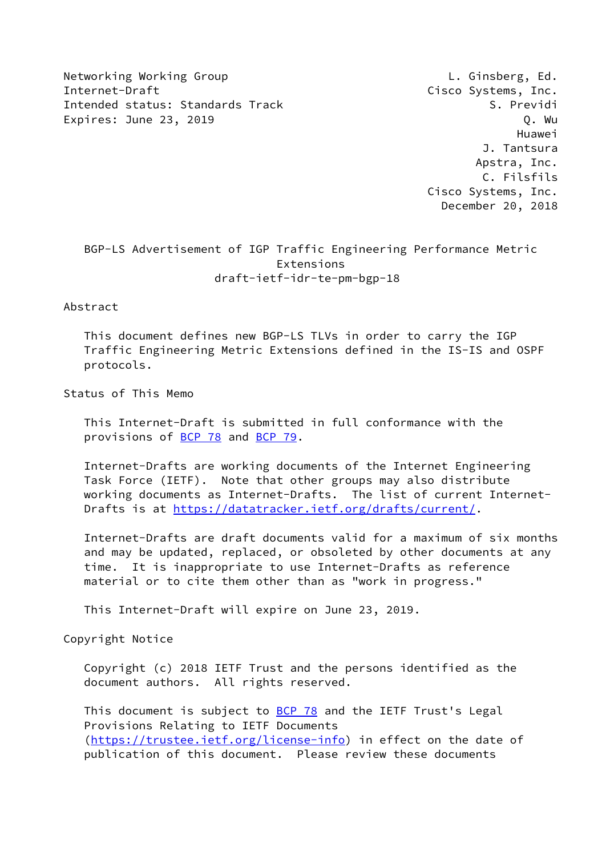Networking Working Group **L. Ginsberg, Ed.** Internet-Draft Cisco Systems, Inc. Intended status: Standards Track S. Previdi Expires: June 23, 2019 **Q. William Contract Contract Contract Contract Contract Contract Contract Contract Contract Contract Contract Contract Contract Contract Contract Contract Contract Contract Contract Contract Contrac** 

 Huawei J. Tantsura Apstra, Inc. C. Filsfils Cisco Systems, Inc. December 20, 2018

 BGP-LS Advertisement of IGP Traffic Engineering Performance Metric Extensions draft-ietf-idr-te-pm-bgp-18

## Abstract

 This document defines new BGP-LS TLVs in order to carry the IGP Traffic Engineering Metric Extensions defined in the IS-IS and OSPF protocols.

Status of This Memo

 This Internet-Draft is submitted in full conformance with the provisions of [BCP 78](https://datatracker.ietf.org/doc/pdf/bcp78) and [BCP 79](https://datatracker.ietf.org/doc/pdf/bcp79).

 Internet-Drafts are working documents of the Internet Engineering Task Force (IETF). Note that other groups may also distribute working documents as Internet-Drafts. The list of current Internet- Drafts is at<https://datatracker.ietf.org/drafts/current/>.

 Internet-Drafts are draft documents valid for a maximum of six months and may be updated, replaced, or obsoleted by other documents at any time. It is inappropriate to use Internet-Drafts as reference material or to cite them other than as "work in progress."

This Internet-Draft will expire on June 23, 2019.

Copyright Notice

 Copyright (c) 2018 IETF Trust and the persons identified as the document authors. All rights reserved.

This document is subject to **[BCP 78](https://datatracker.ietf.org/doc/pdf/bcp78)** and the IETF Trust's Legal Provisions Relating to IETF Documents [\(https://trustee.ietf.org/license-info](https://trustee.ietf.org/license-info)) in effect on the date of publication of this document. Please review these documents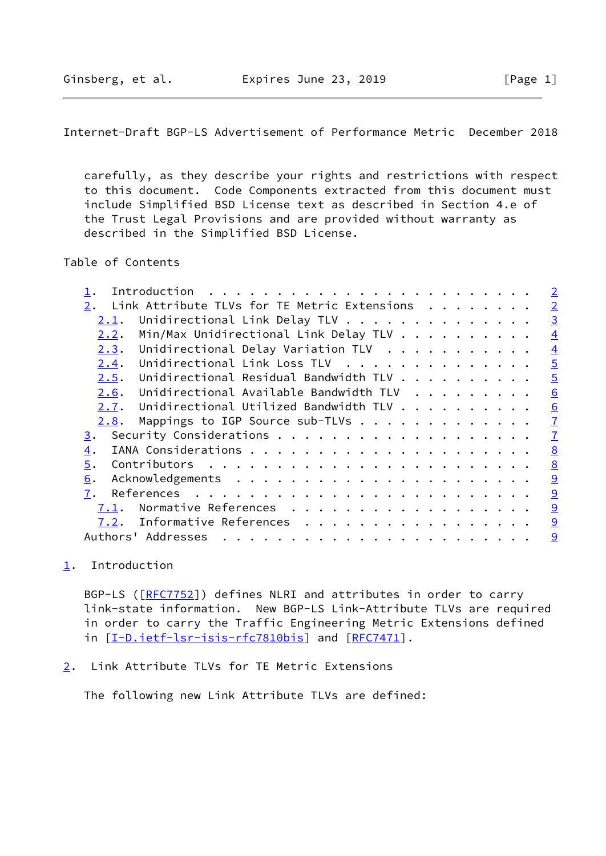<span id="page-1-1"></span>Internet-Draft BGP-LS Advertisement of Performance Metric December 2018

 carefully, as they describe your rights and restrictions with respect to this document. Code Components extracted from this document must include Simplified BSD License text as described in Section 4.e of the Trust Legal Provisions and are provided without warranty as described in the Simplified BSD License.

Table of Contents

|                                                    | $\overline{2}$ |
|----------------------------------------------------|----------------|
| Link Attribute TLVs for TE Metric Extensions<br>2. | $\overline{2}$ |
| Unidirectional Link Delay TLV<br><u>2.1</u> .      | $\overline{3}$ |
| Min/Max Unidirectional Link Delay TLV<br>2.2.      | $\overline{4}$ |
| Unidirectional Delay Variation TLV<br>2.3.         | $\overline{4}$ |
| Unidirectional Link Loss TLV<br>2.4.               | $\overline{5}$ |
| Unidirectional Residual Bandwidth TLV<br>2.5.      | $\overline{5}$ |
| Unidirectional Available Bandwidth TLV<br>2.6.     | 6              |
| Unidirectional Utilized Bandwidth TLV<br>2.7.      | 6              |
| Mappings to IGP Source sub-TLVs<br>2.8.            | $\overline{1}$ |
| 3.                                                 | $\overline{1}$ |
| 4.                                                 | 8              |
| 5.                                                 | 8              |
| 6.                                                 | 9              |
| 7.                                                 | 9              |
| Normative References<br>7.1.                       | 9              |
| Informative References<br>7.2.                     | 9              |
| Authors' Addresses<br>.                            | 9              |
|                                                    |                |

<span id="page-1-0"></span>[1](#page-1-0). Introduction

BGP-LS ([\[RFC7752](https://datatracker.ietf.org/doc/pdf/rfc7752)]) defines NLRI and attributes in order to carry link-state information. New BGP-LS Link-Attribute TLVs are required in order to carry the Traffic Engineering Metric Extensions defined in [[I-D.ietf-lsr-isis-rfc7810bis\]](#page-9-5) and [[RFC7471](https://datatracker.ietf.org/doc/pdf/rfc7471)].

<span id="page-1-2"></span>[2](#page-1-2). Link Attribute TLVs for TE Metric Extensions

The following new Link Attribute TLVs are defined: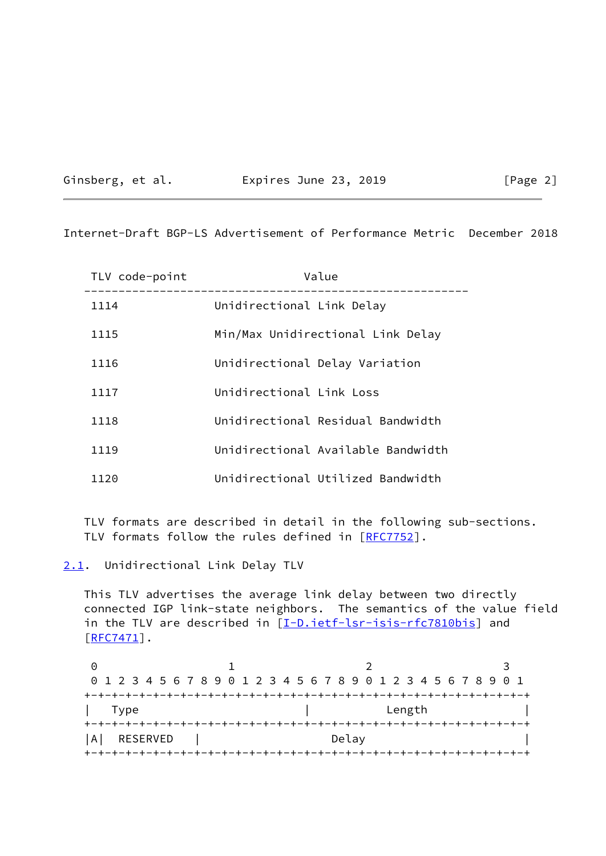| Ginsberg, et al. |  |
|------------------|--|
|                  |  |

### Expires June 23, 2019 [Page 2]

<span id="page-2-1"></span>Internet-Draft BGP-LS Advertisement of Performance Metric December 2018

| TLV code-point | Value                              |
|----------------|------------------------------------|
| 1114           | Unidirectional Link Delay          |
| 1115           | Min/Max Unidirectional Link Delay  |
| 1116           | Unidirectional Delay Variation     |
| 1117           | Unidirectional Link Loss           |
| 1118           | Unidirectional Residual Bandwidth  |
| 1119           | Unidirectional Available Bandwidth |
| 1120           | Unidirectional Utilized Bandwidth  |

 TLV formats are described in detail in the following sub-sections. TLV formats follow the rules defined in [\[RFC7752](https://datatracker.ietf.org/doc/pdf/rfc7752)].

<span id="page-2-0"></span>[2.1](#page-2-0). Unidirectional Link Delay TLV

 This TLV advertises the average link delay between two directly connected IGP link-state neighbors. The semantics of the value field in the TLV are described in [\[I-D.ietf-lsr-isis-rfc7810bis](#page-9-5)] and  $[$ RFC7471 $]$ .

0 1 2 3 0 1 2 3 4 5 6 7 8 9 0 1 2 3 4 5 6 7 8 9 0 1 2 3 4 5 6 7 8 9 0 1 +-+-+-+-+-+-+-+-+-+-+-+-+-+-+-+-+-+-+-+-+-+-+-+-+-+-+-+-+-+-+-+-+ | Type | Length | +-+-+-+-+-+-+-+-+-+-+-+-+-+-+-+-+-+-+-+-+-+-+-+-+-+-+-+-+-+-+-+-+ |A| RESERVED | Delay +-+-+-+-+-+-+-+-+-+-+-+-+-+-+-+-+-+-+-+-+-+-+-+-+-+-+-+-+-+-+-+-+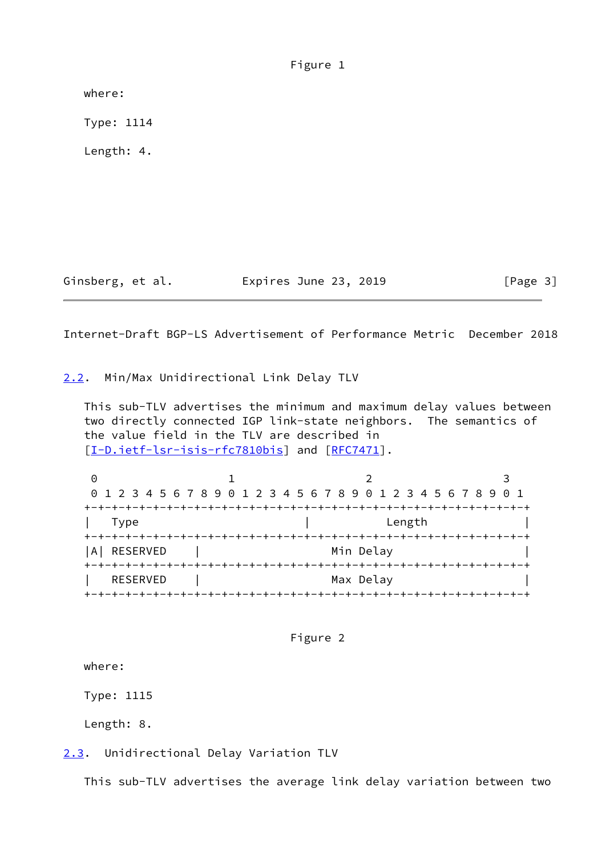| Figure 1 |  |
|----------|--|
|          |  |

where:

Type: 1114

Length: 4.

Ginsberg, et al. **Expires June 23, 2019** [Page 3]

<span id="page-3-1"></span>Internet-Draft BGP-LS Advertisement of Performance Metric December 2018

<span id="page-3-0"></span>[2.2](#page-3-0). Min/Max Unidirectional Link Delay TLV

 This sub-TLV advertises the minimum and maximum delay values between two directly connected IGP link-state neighbors. The semantics of the value field in the TLV are described in [\[I-D.ietf-lsr-isis-rfc7810bis](#page-9-5)] and [[RFC7471\]](https://datatracker.ietf.org/doc/pdf/rfc7471).

|                 | 0 1 2 3 4 5 6 7 8 9 0 1 2 3 4 5 6 7 8 9 0 1 2 3 4 5 6 7 8 9 0 1 |  |
|-----------------|-----------------------------------------------------------------|--|
|                 |                                                                 |  |
| Type            | Length                                                          |  |
|                 |                                                                 |  |
| A   RESERVED    | Min Delay                                                       |  |
|                 |                                                                 |  |
| <b>RESERVED</b> | Max Delay                                                       |  |
|                 |                                                                 |  |

Figure 2

where:

Type: 1115

Length: 8.

<span id="page-3-2"></span>[2.3](#page-3-2). Unidirectional Delay Variation TLV

This sub-TLV advertises the average link delay variation between two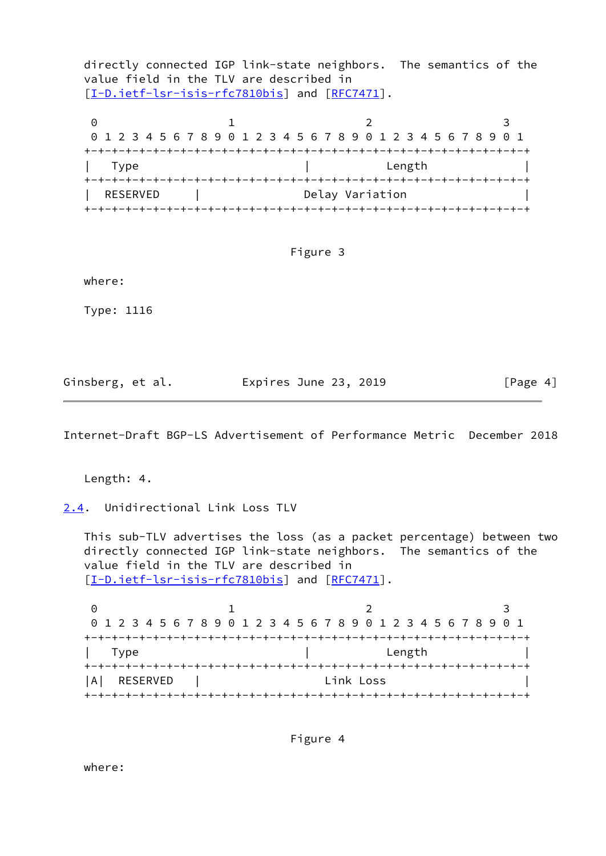directly connected IGP link-state neighbors. The semantics of the value field in the TLV are described in [\[I-D.ietf-lsr-isis-rfc7810bis](#page-9-5)] and [[RFC7471\]](https://datatracker.ietf.org/doc/pdf/rfc7471).

0 1 2 3 0 1 2 3 4 5 6 7 8 9 0 1 2 3 4 5 6 7 8 9 0 1 2 3 4 5 6 7 8 9 0 1 +-+-+-+-+-+-+-+-+-+-+-+-+-+-+-+-+-+-+-+-+-+-+-+-+-+-+-+-+-+-+-+-+ | Type | Length | +-+-+-+-+-+-+-+-+-+-+-+-+-+-+-+-+-+-+-+-+-+-+-+-+-+-+-+-+-+-+-+-+ | RESERVED | Delay Variation +-+-+-+-+-+-+-+-+-+-+-+-+-+-+-+-+-+-+-+-+-+-+-+-+-+-+-+-+-+-+-+-+

### Figure 3

where:

Type: 1116

Ginsberg, et al. **Expires June 23, 2019** [Page 4]

<span id="page-4-1"></span>Internet-Draft BGP-LS Advertisement of Performance Metric December 2018

Length: 4.

<span id="page-4-0"></span>[2.4](#page-4-0). Unidirectional Link Loss TLV

 This sub-TLV advertises the loss (as a packet percentage) between two directly connected IGP link-state neighbors. The semantics of the value field in the TLV are described in [\[I-D.ietf-lsr-isis-rfc7810bis](#page-9-5)] and [[RFC7471\]](https://datatracker.ietf.org/doc/pdf/rfc7471).

0 1 2 3 0 1 2 3 4 5 6 7 8 9 0 1 2 3 4 5 6 7 8 9 0 1 2 3 4 5 6 7 8 9 0 1 +-+-+-+-+-+-+-+-+-+-+-+-+-+-+-+-+-+-+-+-+-+-+-+-+-+-+-+-+-+-+-+-+ | Type | Length | Length | Length | Length | Length | Length | Length | Length | Length | Length | Length | Length | Length | Length | Length | Length | Length | Length | Length | Length | Length | Length | Length | Length +-+-+-+-+-+-+-+-+-+-+-+-+-+-+-+-+-+-+-+-+-+-+-+-+-+-+-+-+-+-+-+-+ |A| RESERVED | Link Loss | +-+-+-+-+-+-+-+-+-+-+-+-+-+-+-+-+-+-+-+-+-+-+-+-+-+-+-+-+-+-+-+-+

Figure 4

where: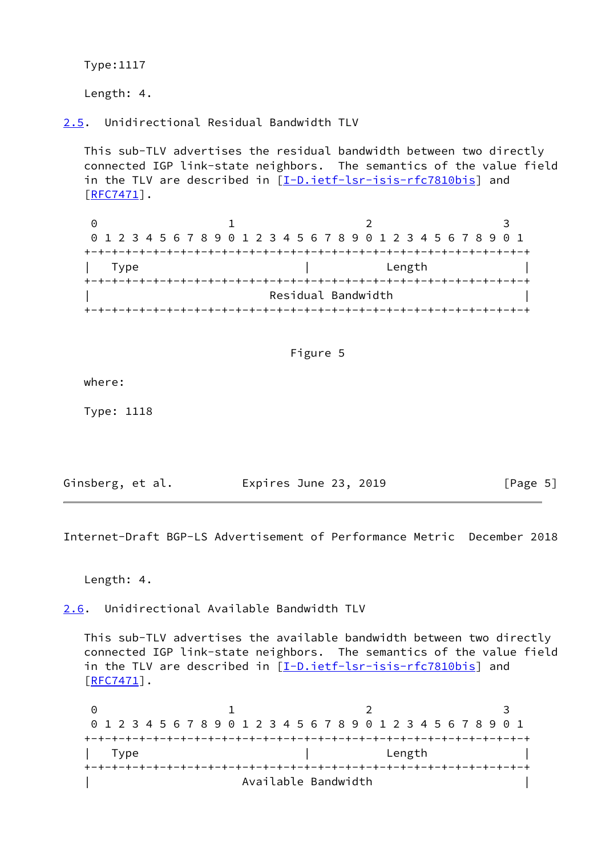Type:1117

Length: 4.

<span id="page-5-0"></span>[2.5](#page-5-0). Unidirectional Residual Bandwidth TLV

 This sub-TLV advertises the residual bandwidth between two directly connected IGP link-state neighbors. The semantics of the value field in the TLV are described in [\[I-D.ietf-lsr-isis-rfc7810bis](#page-9-5)] and [\[RFC7471](https://datatracker.ietf.org/doc/pdf/rfc7471)].

0 1 2 3 0 1 2 3 4 5 6 7 8 9 0 1 2 3 4 5 6 7 8 9 0 1 2 3 4 5 6 7 8 9 0 1 +-+-+-+-+-+-+-+-+-+-+-+-+-+-+-+-+-+-+-+-+-+-+-+-+-+-+-+-+-+-+-+-+ | Type | Length | +-+-+-+-+-+-+-+-+-+-+-+-+-+-+-+-+-+-+-+-+-+-+-+-+-+-+-+-+-+-+-+-+ Residual Bandwidth +-+-+-+-+-+-+-+-+-+-+-+-+-+-+-+-+-+-+-+-+-+-+-+-+-+-+-+-+-+-+-+-+

# Figure 5

where:

Type: 1118

| Ginsberg, et al. | Expires June 23, 2019 | [Page 5] |
|------------------|-----------------------|----------|
|------------------|-----------------------|----------|

<span id="page-5-2"></span>Internet-Draft BGP-LS Advertisement of Performance Metric December 2018

Length: 4.

<span id="page-5-1"></span>[2.6](#page-5-1). Unidirectional Available Bandwidth TLV

 This sub-TLV advertises the available bandwidth between two directly connected IGP link-state neighbors. The semantics of the value field in the TLV are described in [\[I-D.ietf-lsr-isis-rfc7810bis](#page-9-5)] and  $[$ RFC7471 $]$ .

0 1 2 3 0 1 2 3 4 5 6 7 8 9 0 1 2 3 4 5 6 7 8 9 0 1 2 3 4 5 6 7 8 9 0 1 +-+-+-+-+-+-+-+-+-+-+-+-+-+-+-+-+-+-+-+-+-+-+-+-+-+-+-+-+-+-+-+-+ | Type | Length | +-+-+-+-+-+-+-+-+-+-+-+-+-+-+-+-+-+-+-+-+-+-+-+-+-+-+-+-+-+-+-+-+ Available Bandwidth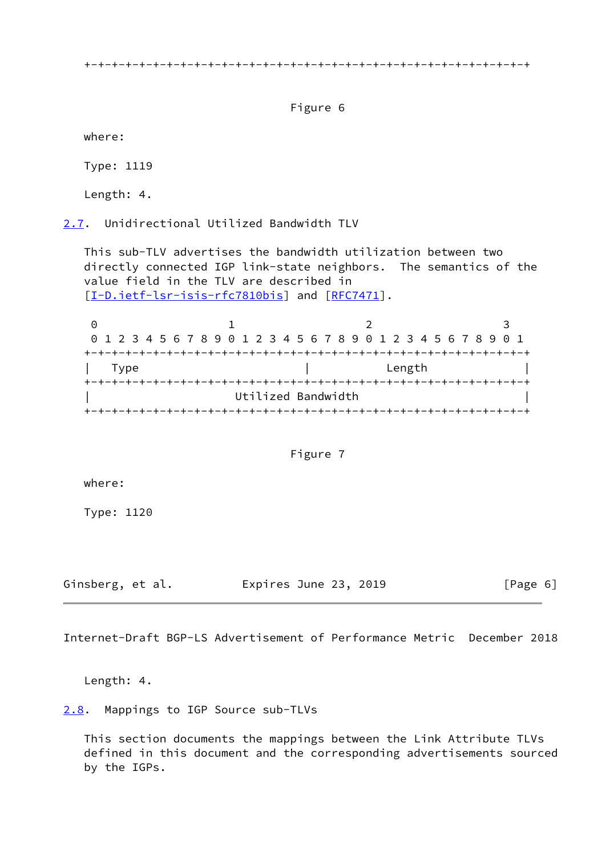+-+-+-+-+-+-+-+-+-+-+-+-+-+-+-+-+-+-+-+-+-+-+-+-+-+-+-+-+-+-+-+-+

Figure 6

where:

Type: 1119

Length: 4.

<span id="page-6-0"></span>[2.7](#page-6-0). Unidirectional Utilized Bandwidth TLV

 This sub-TLV advertises the bandwidth utilization between two directly connected IGP link-state neighbors. The semantics of the value field in the TLV are described in [\[I-D.ietf-lsr-isis-rfc7810bis](#page-9-5)] and [[RFC7471\]](https://datatracker.ietf.org/doc/pdf/rfc7471).

0 1 2 3 0 1 2 3 4 5 6 7 8 9 0 1 2 3 4 5 6 7 8 9 0 1 2 3 4 5 6 7 8 9 0 1 +-+-+-+-+-+-+-+-+-+-+-+-+-+-+-+-+-+-+-+-+-+-+-+-+-+-+-+-+-+-+-+-+ | Type | Length | Length +-+-+-+-+-+-+-+-+-+-+-+-+-+-+-+-+-+-+-+-+-+-+-+-+-+-+-+-+-+-+-+-+ Utilized Bandwidth +-+-+-+-+-+-+-+-+-+-+-+-+-+-+-+-+-+-+-+-+-+-+-+-+-+-+-+-+-+-+-+-+

## Figure 7

where:

Type: 1120

Ginsberg, et al. Expires June 23, 2019 [Page 6]

<span id="page-6-2"></span>Internet-Draft BGP-LS Advertisement of Performance Metric December 2018

Length: 4.

<span id="page-6-1"></span>[2.8](#page-6-1). Mappings to IGP Source sub-TLVs

 This section documents the mappings between the Link Attribute TLVs defined in this document and the corresponding advertisements sourced by the IGPs.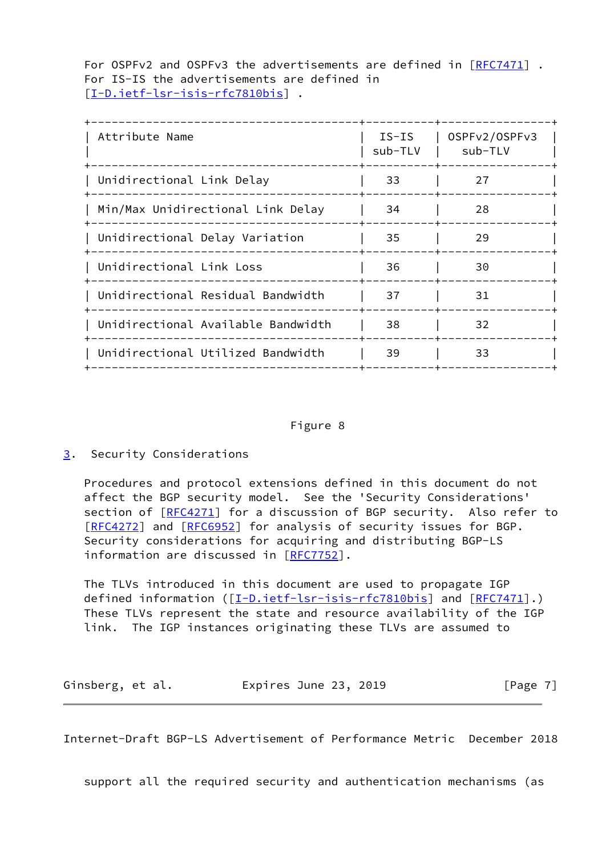For OSPFv2 and OSPFv3 the advertisements are defined in [\[RFC7471](https://datatracker.ietf.org/doc/pdf/rfc7471)]. For IS-IS the advertisements are defined in [\[I-D.ietf-lsr-isis-rfc7810bis](#page-9-5)] .

| Attribute Name                     | $IS-IS$<br>sub-TLV | OSPFv2/OSPFv3<br>sub-TLV |
|------------------------------------|--------------------|--------------------------|
| Unidirectional Link Delay          | 33                 | 27                       |
| Min/Max Unidirectional Link Delay  | 34                 | 28                       |
| Unidirectional Delay Variation     | 35                 | 29                       |
| Unidirectional Link Loss           | 36                 | 30                       |
| Unidirectional Residual Bandwidth  | 37                 | 31                       |
| Unidirectional Available Bandwidth | 38                 | 32                       |
| Unidirectional Utilized Bandwidth  | 39                 | 33                       |
|                                    |                    |                          |

### Figure 8

<span id="page-7-0"></span>[3](#page-7-0). Security Considerations

 Procedures and protocol extensions defined in this document do not affect the BGP security model. See the 'Security Considerations' section of  $[REC4271]$  for a discussion of BGP security. Also refer to [\[RFC4272](https://datatracker.ietf.org/doc/pdf/rfc4272)] and [[RFC6952](https://datatracker.ietf.org/doc/pdf/rfc6952)] for analysis of security issues for BGP. Security considerations for acquiring and distributing BGP-LS information are discussed in [\[RFC7752](https://datatracker.ietf.org/doc/pdf/rfc7752)].

 The TLVs introduced in this document are used to propagate IGP defined information ([\[I-D.ietf-lsr-isis-rfc7810bis](#page-9-5)] and [\[RFC7471](https://datatracker.ietf.org/doc/pdf/rfc7471)].) These TLVs represent the state and resource availability of the IGP link. The IGP instances originating these TLVs are assumed to

Ginsberg, et al. **Expires June 23, 2019** [Page 7]

<span id="page-7-1"></span>Internet-Draft BGP-LS Advertisement of Performance Metric December 2018

support all the required security and authentication mechanisms (as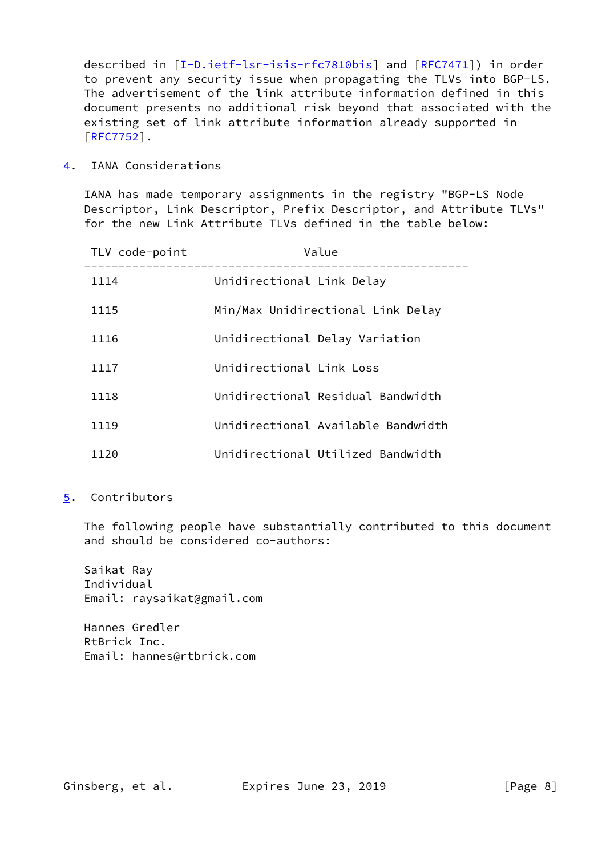described in  $[I-D.iett-lsr-isis-rfc7810bis]$  and  $[RFC7471])$  $[RFC7471])$  in order to prevent any security issue when propagating the TLVs into BGP-LS. The advertisement of the link attribute information defined in this document presents no additional risk beyond that associated with the existing set of link attribute information already supported in [\[RFC7752](https://datatracker.ietf.org/doc/pdf/rfc7752)].

<span id="page-8-0"></span>[4](#page-8-0). IANA Considerations

 IANA has made temporary assignments in the registry "BGP-LS Node Descriptor, Link Descriptor, Prefix Descriptor, and Attribute TLVs" for the new Link Attribute TLVs defined in the table below:

| TLV code-point | Value                              |
|----------------|------------------------------------|
| 1114           | Unidirectional Link Delay          |
| 1115           | Min/Max Unidirectional Link Delay  |
| 1116           | Unidirectional Delay Variation     |
| 1117           | Unidirectional Link Loss           |
| 1118           | Unidirectional Residual Bandwidth  |
| 1119           | Unidirectional Available Bandwidth |
| 1120           | Unidirectional Utilized Bandwidth  |

<span id="page-8-1"></span>[5](#page-8-1). Contributors

 The following people have substantially contributed to this document and should be considered co-authors:

 Saikat Ray Individual Email: raysaikat@gmail.com

 Hannes Gredler RtBrick Inc. Email: hannes@rtbrick.com

Ginsberg, et al. **Expires June 23, 2019** [Page 8]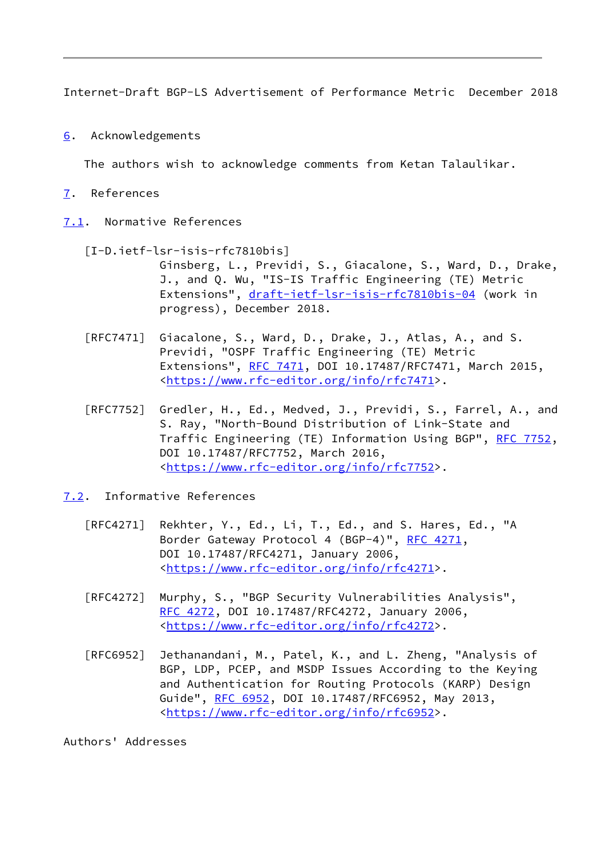<span id="page-9-1"></span>Internet-Draft BGP-LS Advertisement of Performance Metric December 2018

<span id="page-9-0"></span>[6](#page-9-0). Acknowledgements

The authors wish to acknowledge comments from Ketan Talaulikar.

- <span id="page-9-2"></span>[7](#page-9-2). References
- <span id="page-9-5"></span><span id="page-9-3"></span>[7.1](#page-9-3). Normative References
	- [I-D.ietf-lsr-isis-rfc7810bis]
		- Ginsberg, L., Previdi, S., Giacalone, S., Ward, D., Drake, J., and Q. Wu, "IS-IS Traffic Engineering (TE) Metric Extensions", [draft-ietf-lsr-isis-rfc7810bis-04](https://datatracker.ietf.org/doc/pdf/draft-ietf-lsr-isis-rfc7810bis-04) (work in progress), December 2018.
	- [RFC7471] Giacalone, S., Ward, D., Drake, J., Atlas, A., and S. Previdi, "OSPF Traffic Engineering (TE) Metric Extensions", [RFC 7471](https://datatracker.ietf.org/doc/pdf/rfc7471), DOI 10.17487/RFC7471, March 2015, <[https://www.rfc-editor.org/info/rfc7471>](https://www.rfc-editor.org/info/rfc7471).
	- [RFC7752] Gredler, H., Ed., Medved, J., Previdi, S., Farrel, A., and S. Ray, "North-Bound Distribution of Link-State and Traffic Engineering (TE) Information Using BGP", [RFC 7752,](https://datatracker.ietf.org/doc/pdf/rfc7752) DOI 10.17487/RFC7752, March 2016, <[https://www.rfc-editor.org/info/rfc7752>](https://www.rfc-editor.org/info/rfc7752).
- <span id="page-9-4"></span>[7.2](#page-9-4). Informative References
	- [RFC4271] Rekhter, Y., Ed., Li, T., Ed., and S. Hares, Ed., "A Border Gateway Protocol 4 (BGP-4)", [RFC 4271,](https://datatracker.ietf.org/doc/pdf/rfc4271) DOI 10.17487/RFC4271, January 2006, <[https://www.rfc-editor.org/info/rfc4271>](https://www.rfc-editor.org/info/rfc4271).
	- [RFC4272] Murphy, S., "BGP Security Vulnerabilities Analysis", [RFC 4272,](https://datatracker.ietf.org/doc/pdf/rfc4272) DOI 10.17487/RFC4272, January 2006, <[https://www.rfc-editor.org/info/rfc4272>](https://www.rfc-editor.org/info/rfc4272).
	- [RFC6952] Jethanandani, M., Patel, K., and L. Zheng, "Analysis of BGP, LDP, PCEP, and MSDP Issues According to the Keying and Authentication for Routing Protocols (KARP) Design Guide", [RFC 6952,](https://datatracker.ietf.org/doc/pdf/rfc6952) DOI 10.17487/RFC6952, May 2013, <[https://www.rfc-editor.org/info/rfc6952>](https://www.rfc-editor.org/info/rfc6952).

Authors' Addresses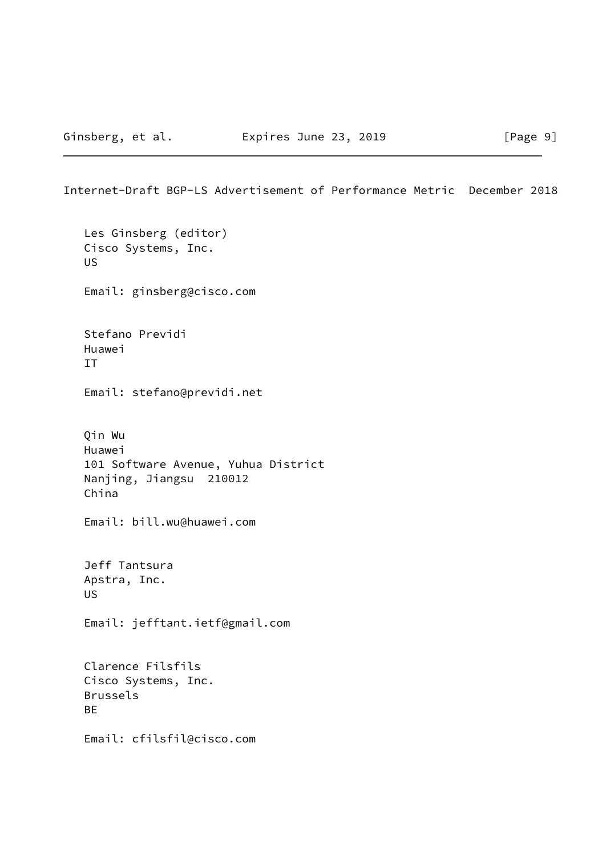Internet-Draft BGP-LS Advertisement of Performance Metric December 2018

 Les Ginsberg (editor) Cisco Systems, Inc. US Email: ginsberg@cisco.com Stefano Previdi Huawei IT Email: stefano@previdi.net Qin Wu Huawei 101 Software Avenue, Yuhua District Nanjing, Jiangsu 210012 China Email: bill.wu@huawei.com Jeff Tantsura Apstra, Inc. US Email: jefftant.ietf@gmail.com Clarence Filsfils Cisco Systems, Inc. Brussels BE Email: cfilsfil@cisco.com